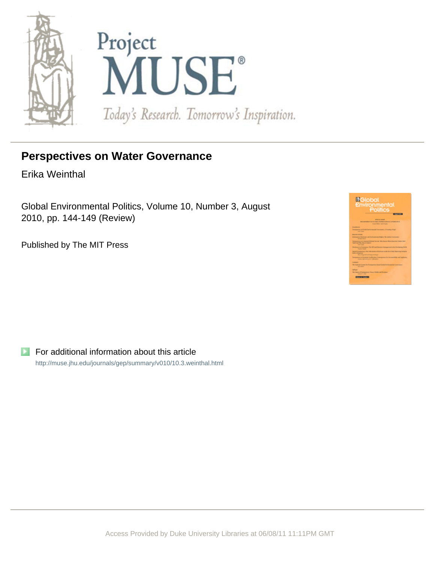



## **Perspectives on Water Governance**

Erika Weinthal

Global Environmental Politics, Volume 10, Number 3, August 2010, pp. 144-149 (Review)

Published by The MIT Press





For additional information about this article

<http://muse.jhu.edu/journals/gep/summary/v010/10.3.weinthal.html>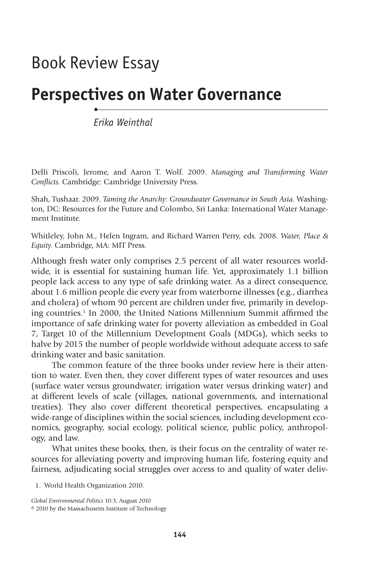## Book Review Essay

•

## **Perspectives on Water Governance**

*Erika Weinthal*

Delli Priscoli, Jerome, and Aaron T. Wolf. 2009. *Managing and Transforming Water* Conflicts. Cambridge: Cambridge University Press.

Shah, Tushaar. 2009. *Taming the Anarchy: Groundwater Governance in South Asia.* Washington, DC: Resources for the Future and Colombo, Sri Lanka: International Water Management Institute.

Whitleley, John M., Helen Ingram, and Richard Warren Perry, eds. 2008. *Water, Place & Equity.* Cambridge, MA: MIT Press.

Although fresh water only comprises 2.5 percent of all water resources worldwide, it is essential for sustaining human life. Yet, approximately 1.1 billion people lack access to any type of safe drinking water. As a direct consequence, about 1.6 million people die every year from waterborne illnesses (e.g., diarrhea and cholera) of whom 90 percent are children under five, primarily in developing countries.<sup>1</sup> In 2000, the United Nations Millennium Summit affirmed the importance of safe drinking water for poverty alleviation as embedded in Goal 7, Target 10 of the Millennium Development Goals (MDGs), which seeks to halve by 2015 the number of people worldwide without adequate access to safe drinking water and basic sanitation.

The common feature of the three books under review here is their attention to water. Even then, they cover different types of water resources and uses (surface water versus groundwater; irrigation water versus drinking water) and at different levels of scale (villages, national governments, and international treaties). They also cover different theoretical perspectives, encapsulating a wide-range of disciplines within the social sciences, including development economics, geography, social ecology, political science, public policy, anthropology, and law.

What unites these books, then, is their focus on the centrality of water resources for alleviating poverty and improving human life, fostering equity and fairness, adjudicating social struggles over access to and quality of water deliv-

1. World Health Organization 2010.

*Global Environmental Politics* 10:3, August 2010

<sup>© 2010</sup> by the Massachusetts Institute of Technology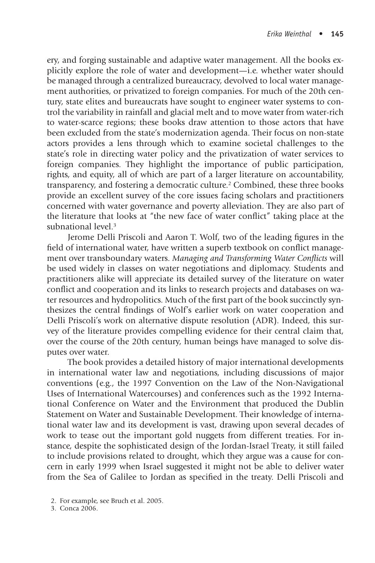ery, and forging sustainable and adaptive water management. All the books explicitly explore the role of water and development—i.e. whether water should be managed through a centralized bureaucracy, devolved to local water management authorities, or privatized to foreign companies. For much of the 20th century, state elites and bureaucrats have sought to engineer water systems to control the variability in rainfall and glacial melt and to move water from water-rich to water-scarce regions; these books draw attention to those actors that have been excluded from the state's modernization agenda. Their focus on non-state actors provides a lens through which to examine societal challenges to the state's role in directing water policy and the privatization of water services to foreign companies. They highlight the importance of public participation, rights, and equity, all of which are part of a larger literature on accountability, transparency, and fostering a democratic culture.<sup>2</sup> Combined, these three books provide an excellent survey of the core issues facing scholars and practitioners concerned with water governance and poverty alleviation. They are also part of the literature that looks at "the new face of water conflict" taking place at the subnational level.3

Jerome Delli Priscoli and Aaron T. Wolf, two of the leading figures in the field of international water, have written a superb textbook on conflict management over transboundary waters. *Managing and Transforming Water Conflicts* will be used widely in classes on water negotiations and diplomacy. Students and practitioners alike will appreciate its detailed survey of the literature on water conflict and cooperation and its links to research projects and databases on water resources and hydropolitics. Much of the first part of the book succinctly synthesizes the central findings of Wolf's earlier work on water cooperation and Delli Priscoli's work on alternative dispute resolution (ADR). Indeed, this survey of the literature provides compelling evidence for their central claim that, over the course of the 20th century, human beings have managed to solve disputes over water.

The book provides a detailed history of major international developments in international water law and negotiations, including discussions of major conventions (e.g., the 1997 Convention on the Law of the Non-Navigational Uses of International Watercourses) and conferences such as the 1992 International Conference on Water and the Environment that produced the Dublin Statement on Water and Sustainable Development. Their knowledge of international water law and its development is vast, drawing upon several decades of work to tease out the important gold nuggets from different treaties. For instance, despite the sophisticated design of the Jordan-Israel Treaty, it still failed to include provisions related to drought, which they argue was a cause for concern in early 1999 when Israel suggested it might not be able to deliver water from the Sea of Galilee to Jordan as specified in the treaty. Delli Priscoli and

3. Conca 2006.

<sup>2.</sup> For example, see Bruch et al. 2005.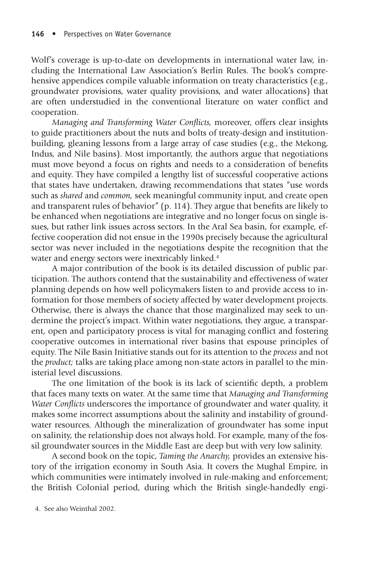Wolf's coverage is up-to-date on developments in international water law, including the International Law Association's Berlin Rules. The book's comprehensive appendices compile valuable information on treaty characteristics (e.g., groundwater provisions, water quality provisions, and water allocations) that are often understudied in the conventional literature on water conflict and cooperation.

*Managing and Transforming Water Conflicts, moreover, offers clear insights* to guide practitioners about the nuts and bolts of treaty-design and institutionbuilding, gleaning lessons from a large array of case studies (e.g., the Mekong, Indus, and Nile basins). Most importantly, the authors argue that negotiations must move beyond a focus on rights and needs to a consideration of benefits and equity. They have compiled a lengthy list of successful cooperative actions that states have undertaken, drawing recommendations that states "use words such as *shared* and *common,* seek meaningful community input, and create open and transparent rules of behavior" (p.  $114$ ). They argue that benefits are likely to be enhanced when negotiations are integrative and no longer focus on single issues, but rather link issues across sectors. In the Aral Sea basin, for example, effective cooperation did not ensue in the 1990s precisely because the agricultural sector was never included in the negotiations despite the recognition that the water and energy sectors were inextricably linked.<sup>4</sup>

A major contribution of the book is its detailed discussion of public participation. The authors contend that the sustainability and effectiveness of water planning depends on how well policymakers listen to and provide access to information for those members of society affected by water development projects. Otherwise, there is always the chance that those marginalized may seek to undermine the project's impact. Within water negotiations, they argue, a transparent, open and participatory process is vital for managing conflict and fostering cooperative outcomes in international river basins that espouse principles of equity. The Nile Basin Initiative stands out for its attention to the *process* and not the *product;* talks are taking place among non-state actors in parallel to the ministerial level discussions.

The one limitation of the book is its lack of scientific depth, a problem that faces many texts on water. At the same time that *Managing and Transforming Water Conflicts* underscores the importance of groundwater and water quality, it makes some incorrect assumptions about the salinity and instability of groundwater resources. Although the mineralization of groundwater has some input on salinity, the relationship does not always hold. For example, many of the fossil groundwater sources in the Middle East are deep but with very low salinity.

A second book on the topic, *Taming the Anarchy,* provides an extensive history of the irrigation economy in South Asia. It covers the Mughal Empire, in which communities were intimately involved in rule-making and enforcement; the British Colonial period, during which the British single-handedly engi-

<sup>4.</sup> See also Weinthal 2002.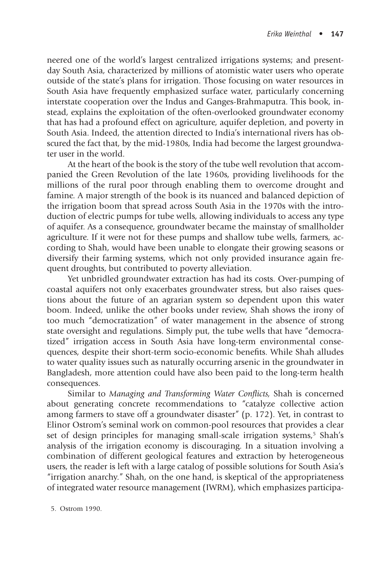neered one of the world's largest centralized irrigations systems; and presentday South Asia, characterized by millions of atomistic water users who operate outside of the state's plans for irrigation. Those focusing on water resources in South Asia have frequently emphasized surface water, particularly concerning interstate cooperation over the Indus and Ganges-Brahmaputra. This book, instead, explains the exploitation of the often-overlooked groundwater economy that has had a profound effect on agriculture, aquifer depletion, and poverty in South Asia. Indeed, the attention directed to India's international rivers has obscured the fact that, by the mid-1980s, India had become the largest groundwater user in the world.

At the heart of the book is the story of the tube well revolution that accompanied the Green Revolution of the late 1960s, providing livelihoods for the millions of the rural poor through enabling them to overcome drought and famine. A major strength of the book is its nuanced and balanced depiction of the irrigation boom that spread across South Asia in the 1970s with the introduction of electric pumps for tube wells, allowing individuals to access any type of aquifer. As a consequence, groundwater became the mainstay of smallholder agriculture. If it were not for these pumps and shallow tube wells, farmers, according to Shah, would have been unable to elongate their growing seasons or diversify their farming systems, which not only provided insurance again frequent droughts, but contributed to poverty alleviation.

Yet unbridled groundwater extraction has had its costs. Over-pumping of coastal aquifers not only exacerbates groundwater stress, but also raises questions about the future of an agrarian system so dependent upon this water boom. Indeed, unlike the other books under review, Shah shows the irony of too much "democratization" of water management in the absence of strong state oversight and regulations. Simply put, the tube wells that have "democratized" irrigation access in South Asia have long-term environmental consequences, despite their short-term socio-economic benefits. While Shah alludes to water quality issues such as naturally occurring arsenic in the groundwater in Bangladesh, more attention could have also been paid to the long-term health consequences.

Similar to *Managing and Transforming Water Conflicts*, Shah is concerned about generating concrete recommendations to "catalyze collective action among farmers to stave off a groundwater disaster" (p. 172). Yet, in contrast to Elinor Ostrom's seminal work on common-pool resources that provides a clear set of design principles for managing small-scale irrigation systems,<sup>5</sup> Shah's analysis of the irrigation economy is discouraging. In a situation involving a combination of different geological features and extraction by heterogeneous users, the reader is left with a large catalog of possible solutions for South Asia's "irrigation anarchy." Shah, on the one hand, is skeptical of the appropriateness of integrated water resource management (IWRM), which emphasizes participa-

5. Ostrom 1990.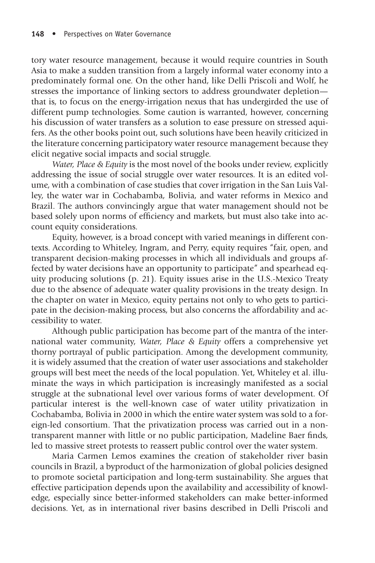tory water resource management, because it would require countries in South Asia to make a sudden transition from a largely informal water economy into a predominately formal one. On the other hand, like Delli Priscoli and Wolf, he stresses the importance of linking sectors to address groundwater depletion that is, to focus on the energy-irrigation nexus that has undergirded the use of different pump technologies. Some caution is warranted, however, concerning his discussion of water transfers as a solution to ease pressure on stressed aquifers. As the other books point out, such solutions have been heavily criticized in the literature concerning participatory water resource management because they elicit negative social impacts and social struggle.

*Water, Place & Equity* is the most novel of the books under review, explicitly addressing the issue of social struggle over water resources. It is an edited volume, with a combination of case studies that cover irrigation in the San Luis Valley, the water war in Cochabamba, Bolivia, and water reforms in Mexico and Brazil. The authors convincingly argue that water management should not be based solely upon norms of efficiency and markets, but must also take into account equity considerations.

Equity, however, is a broad concept with varied meanings in different contexts. According to Whiteley, Ingram, and Perry, equity requires "fair, open, and transparent decision-making processes in which all individuals and groups affected by water decisions have an opportunity to participate" and spearhead equity producing solutions (p. 21). Equity issues arise in the U.S.-Mexico Treaty due to the absence of adequate water quality provisions in the treaty design. In the chapter on water in Mexico, equity pertains not only to who gets to participate in the decision-making process, but also concerns the affordability and accessibility to water.

Although public participation has become part of the mantra of the international water community, *Water, Place & Equity* offers a comprehensive yet thorny portrayal of public participation. Among the development community, it is widely assumed that the creation of water user associations and stakeholder groups will best meet the needs of the local population. Yet, Whiteley et al. illuminate the ways in which participation is increasingly manifested as a social struggle at the subnational level over various forms of water development. Of particular interest is the well-known case of water utility privatization in Cochabamba, Bolivia in 2000 in which the entire water system was sold to a foreign-led consortium. That the privatization process was carried out in a nontransparent manner with little or no public participation, Madeline Baer finds, led to massive street protests to reassert public control over the water system.

Maria Carmen Lemos examines the creation of stakeholder river basin councils in Brazil, a byproduct of the harmonization of global policies designed to promote societal participation and long-term sustainability. She argues that effective participation depends upon the availability and accessibility of knowledge, especially since better-informed stakeholders can make better-informed decisions. Yet, as in international river basins described in Delli Priscoli and